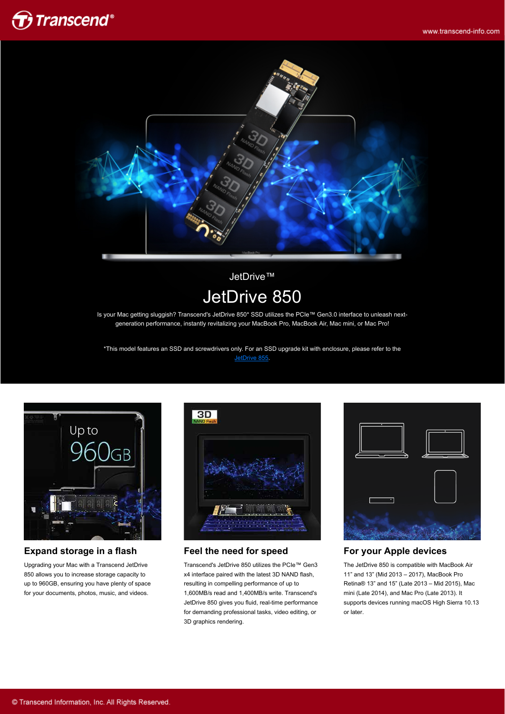



JetDrive™ JetDrive 850

Is your Mac getting sluggish? Transcend's JetDrive 850\* SSD utilizes the PCIe™ Gen3.0 interface to unleash nextgeneration performance, instantly revitalizing your MacBook Pro, MacBook Air, Mac mini, or Mac Pro!

\*This model features an SSD and screwdrivers only. For an SSD upgrade kit with enclosure, please refer to the [JetDrive 855.](http://twms.transcend-info.com/Products/No-957)



### **Expand storage in a flash**

Upgrading your Mac with a Transcend JetDrive 850 allows you to increase storage capacity to up to 960GB, ensuring you have plenty of space for your documents, photos, music, and videos.



#### **Feel the need for speed**

Transcend's JetDrive 850 utilizes the PCIe™ Gen3 x4 interface paired with the latest 3D NAND flash, resulting in compelling performance of up to 1,600MB/s read and 1,400MB/s write. Transcend's JetDrive 850 gives you fluid, real-time performance for demanding professional tasks, video editing, or 3D graphics rendering.



#### **For your Apple devices**

The JetDrive 850 is compatible with MacBook Air 11" and 13" (Mid 2013 – 2017), MacBook Pro Retina® 13" and 15" (Late 2013 – Mid 2015), Mac mini (Late 2014), and Mac Pro (Late 2013). It supports devices running macOS High Sierra 10.13 or later.